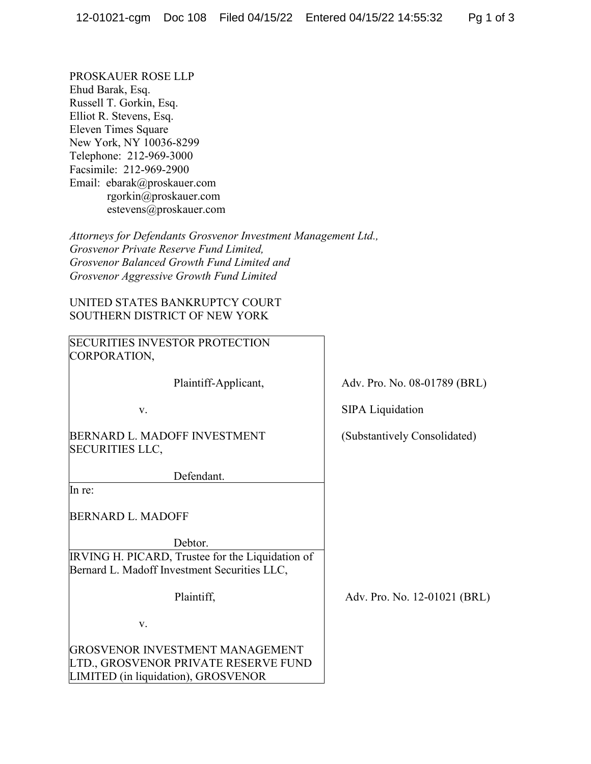PROSKAUER ROSE LLP Ehud Barak, Esq. Russell T. Gorkin, Esq. Elliot R. Stevens, Esq. Eleven Times Square New York, NY 10036-8299 Telephone: 212-969-3000 Facsimile: 212-969-2900 Email: ebarak@proskauer.com rgorkin@proskauer.com estevens@proskauer.com

*Attorneys for Defendants Grosvenor Investment Management Ltd., Grosvenor Private Reserve Fund Limited, Grosvenor Balanced Growth Fund Limited and Grosvenor Aggressive Growth Fund Limited*

UNITED STATES BANKRUPTCY COURT SOUTHERN DISTRICT OF NEW YORK

SECURITIES INVESTOR PROTECTION CORPORATION, Plaintiff-Applicant, v. BERNARD L. MADOFF INVESTMENT SECURITIES LLC, Defendant. SIPA Liquidation (Substantively Consolidated) In re: BERNARD L. MADOFF Debtor. IRVING H. PICARD, Trustee for the Liquidation of Bernard L. Madoff Investment Securities LLC, Plaintiff, v. GROSVENOR INVESTMENT MANAGEMENT LTD., GROSVENOR PRIVATE RESERVE FUND LIMITED (in liquidation), GROSVENOR Adv. Pro. No. 12-01021 (BRL)

Adv. Pro. No. 08-01789 (BRL)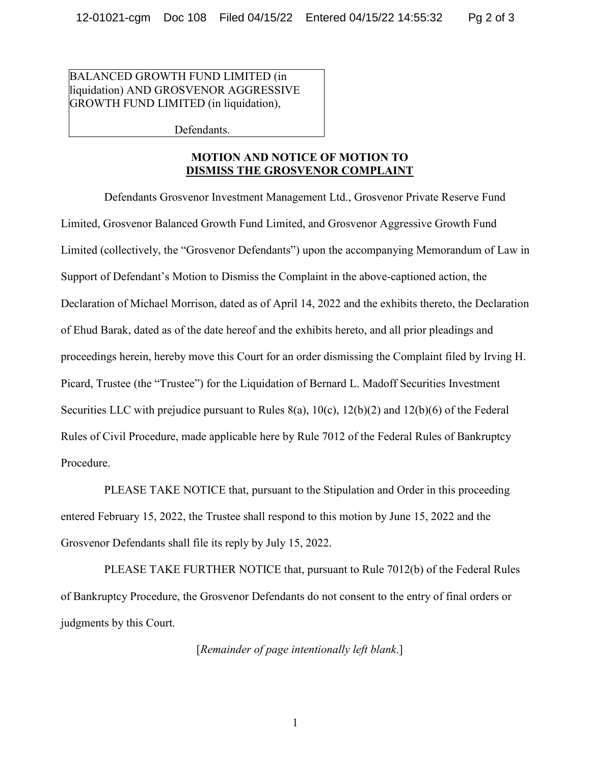BALANCED GROWTH FUND LIMITED (in liquidation) AND GROSVENOR AGGRESSIVE GROWTH FUND LIMITED (in liquidation),

Defendants.

## **MOTION AND NOTICE OF MOTION TO DISMISS THE GROSVENOR COMPLAINT**

Defendants Grosvenor Investment Management Ltd., Grosvenor Private Reserve Fund Limited, Grosvenor Balanced Growth Fund Limited, and Grosvenor Aggressive Growth Fund Limited (collectively, the "Grosvenor Defendants") upon the accompanying Memorandum of Law in Support of Defendant's Motion to Dismiss the Complaint in the above-captioned action, the Declaration of Michael Morrison, dated as of April 14, 2022 and the exhibits thereto, the Declaration of Ehud Barak, dated as of the date hereof and the exhibits hereto, and all prior pleadings and proceedings herein, hereby move this Court for an order dismissing the Complaint filed by Irving H. Picard, Trustee (the "Trustee") for the Liquidation of Bernard L. Madoff Securities Investment Securities LLC with prejudice pursuant to Rules  $8(a)$ ,  $10(c)$ ,  $12(b)(2)$  and  $12(b)(6)$  of the Federal Rules of Civil Procedure, made applicable here by Rule 7012 of the Federal Rules of Bankruptcy Procedure.

PLEASE TAKE NOTICE that, pursuant to the Stipulation and Order in this proceeding entered February 15, 2022, the Trustee shall respond to this motion by June 15, 2022 and the Grosvenor Defendants shall file its reply by July 15, 2022.

PLEASE TAKE FURTHER NOTICE that, pursuant to Rule 7012(b) of the Federal Rules of Bankruptcy Procedure, the Grosvenor Defendants do not consent to the entry of final orders or judgments by this Court.

[*Remainder of page intentionally left blank*.]

1